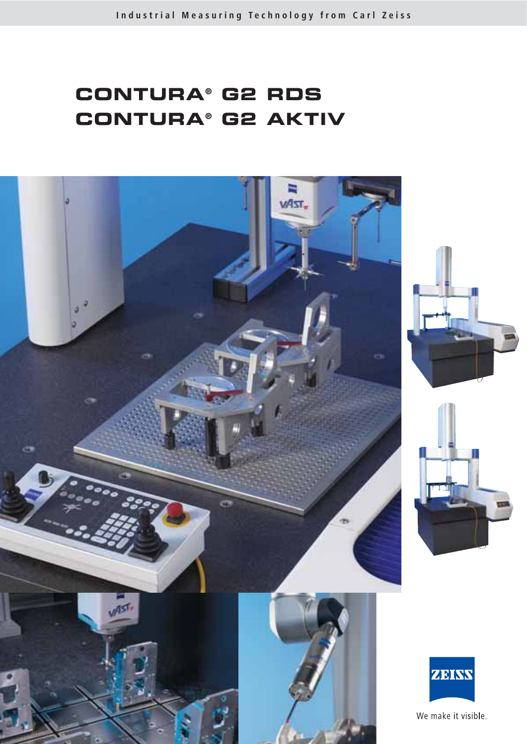# **CONTURA® G2 RDS CONTURA® G2 AKTIV**

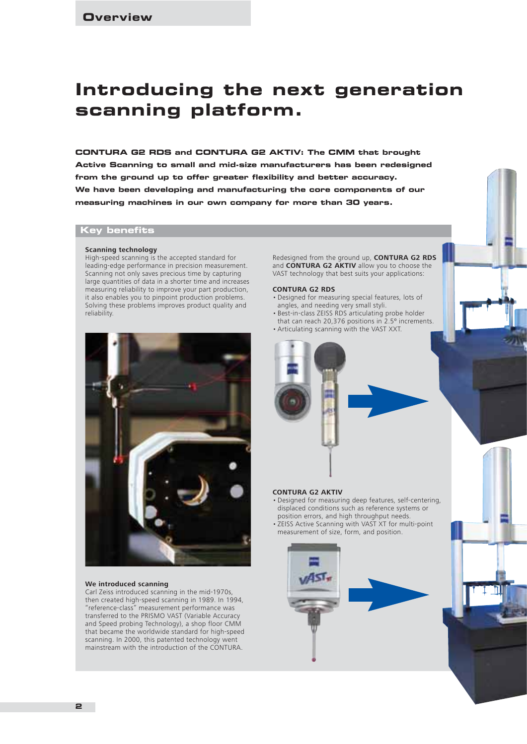# **Introducing the next generation scanning platform.**

**CONTURA G2 RDS and CONTURA G2 AKTIV: The CMM that brought Active Scanning to small and mid-size manufacturers has been redesigned from the ground up to offer greater flexibility and better accuracy. We have been developing and manufacturing the core components of our measuring machines in our own company for more than 30 years.** 

## **Key benefits**

#### **Scanning technology**

High-speed scanning is the accepted standard for leading-edge performance in precision measurement. Scanning not only saves precious time by capturing large quantities of data in a shorter time and increases measuring reliability to improve your part production, it also enables you to pinpoint production problems. Solving these problems improves product quality and reliability.



#### **We introduced scanning**

Carl Zeiss introduced scanning in the mid-1970s, then created high-speed scanning in 1989. In 1994, "reference-class" measurement performance was transferred to the PRISMO VAST (Variable Accuracy and Speed probing Technology), a shop floor CMM that became the worldwide standard for high-speed scanning. In 2000, this patented technology went mainstream with the introduction of the CONTURA.

Redesigned from the ground up, **CONTURA G2 RDS** and **CONTURA G2 AKTIV** allow you to choose the VAST technology that best suits your applications:

#### **CONTURA G2 RDS**

- Designed for measuring special features, lots of angles, and needing very small styli.
- Best-in-class ZEISS RDS articulating probe holder that can reach 20,376 positions in 2.5º increments.
- Articulating scanning with the VAST XXT.



#### **CONTURA G2 AKTIV**

- Designed for measuring deep features, self-centering, displaced conditions such as reference systems or position errors, and high throughput needs.
- ZEISS Active Scanning with VAST XT for multi-point measurement of size, form, and position.

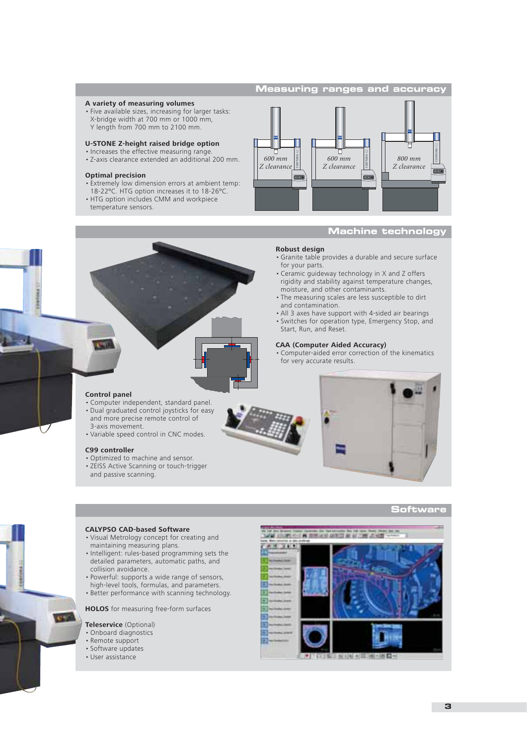#### **Measuring ranges and accuracy**

#### **A variety of measuring volumes**

• Five available sizes, increasing for larger tasks: X-bridge width at 700 mm or 1000 mm, Y length from 700 mm to 2100 mm.

#### **U-STONE Z-height raised bridge option**

- Increases the effective measuring range. • Z-axis clearance extended an additional 200 mm.
- 

#### **Optimal precision**

- Extremely low dimension errors at ambient temp: 18-22ºC. HTG option increases it to 18-26ºC. • HTG option includes CMM and workpiece
- temperature sensors.

#### Ħ **CONTURA** G2 肩 **CONTURA** G2 **CONTURA** G2 *600 mm 600 mm 800 mm Z clearance Z clearance Z clearance* $000$

#### **Machine technology**

#### **Robust design**

- Granite table provides a durable and secure surface for your parts.
- Ceramic guideway technology in X and Z offers rigidity and stability against temperature changes, moisture, and other contaminants.
- The measuring scales are less susceptible to dirt and contamination.
- All 3 axes have support with 4-sided air bearings
- Switches for operation type, Emergency Stop, and Start, Run, and Reset.

#### **CAA (Computer Aided Accuracy)**

• Computer-aided error correction of the kinematics for very accurate results.

#### **Control panel**

- Computer independent, standard panel. • Dual graduated control joysticks for easy
- and more precise remote control of
- 3-axis movement. • Variable speed control in CNC modes.

#### **C99 controller**

- Optimized to machine and sensor.
- ZEISS Active Scanning or touch-trigger and passive scanning.



#### **Software**

# **CALYPSO CAD-based Software**

- Visual Metrology concept for creating and maintaining measuring plans.
- Intelligent: rules-based programming sets the detailed parameters, automatic paths, and collision avoidance.
- Powerful: supports a wide range of sensors, high-level tools, formulas, and parameters. • Better performance with scanning technology.
- 

**HOLOS** for measuring free-form surfaces

#### **Teleservice** (Optional)

- Onboard diagnostics
- Remote support
- Software updates
- User assistance

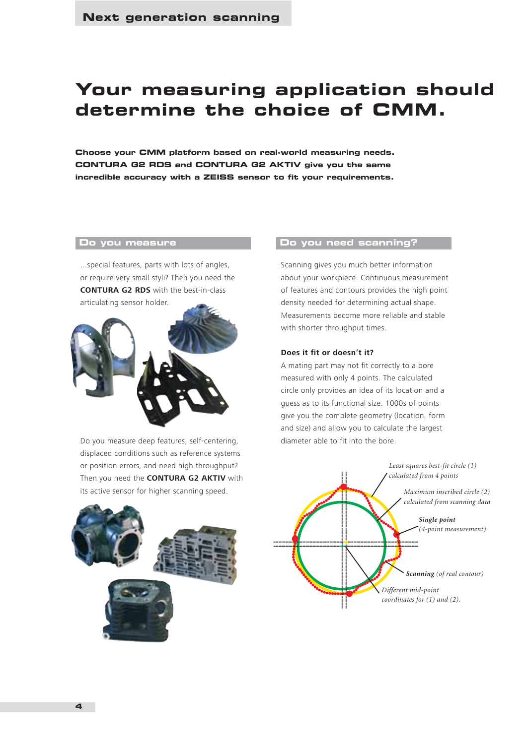# **Your measuring application should determine the choice of CMM.**

**Choose your CMM platform based on real-world measuring needs. CONTURA G2 RDS and CONTURA G2 AKTIV give you the same incredible accuracy with a ZEISS sensor to fit your requirements.** 

## **Do you measure**

...special features, parts with lots of angles, or require very small styli? Then you need the **CONTURA G2 RDS** with the best-in-class articulating sensor holder.



Do you measure deep features, self-centering, displaced conditions such as reference systems or position errors, and need high throughput? Then you need the **CONTURA G2 AKTIV** with its active sensor for higher scanning speed.

#### **Do you need scanning?**

Scanning gives you much better information about your workpiece. Continuous measurement of features and contours provides the high point density needed for determining actual shape. Measurements become more reliable and stable with shorter throughput times.

#### **Does it fit or doesn't it?**

A mating part may not fit correctly to a bore measured with only 4 points. The calculated circle only provides an idea of its location and a guess as to its functional size. 1000s of points give you the complete geometry (location, form and size) and allow you to calculate the largest diameter able to fit into the bore.



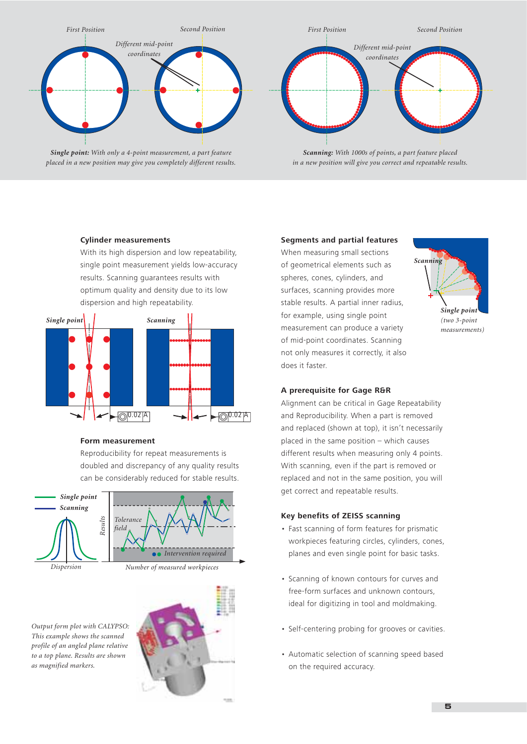



With its high dispersion and low repeatability, single point measurement yields low-accuracy results. Scanning guarantees results with optimum quality and density due to its low dispersion and high repeatability.



#### **Form measurement**

Reproducibility for repeat measurements is doubled and discrepancy of any quality results can be considerably reduced for stable results.



*Output form plot with CALYPSO: This example shows the scanned profile of an angled plane relative to a top plane. Results are shown as magnified markers.*



#### **Segments and partial features**

When measuring small sections of geometrical elements such as spheres, cones, cylinders, and surfaces, scanning provides more stable results. A partial inner radius, for example, using single point measurement can produce a variety of mid-point coordinates. Scanning not only measures it correctly, it also does it faster.



#### **A prerequisite for Gage R&R**

Alignment can be critical in Gage Repeatability and Reproducibility. When a part is removed and replaced (shown at top), it isn't necessarily placed in the same position – which causes different results when measuring only 4 points. With scanning, even if the part is removed or replaced and not in the same position, you will get correct and repeatable results.

#### **Key benefits of ZEISS scanning**

- Fast scanning of form features for prismatic workpieces featuring circles, cylinders, cones, planes and even single point for basic tasks.
- Scanning of known contours for curves and free-form surfaces and unknown contours, ideal for digitizing in tool and moldmaking.
- Self-centering probing for grooves or cavities.
- Automatic selection of scanning speed based on the required accuracy.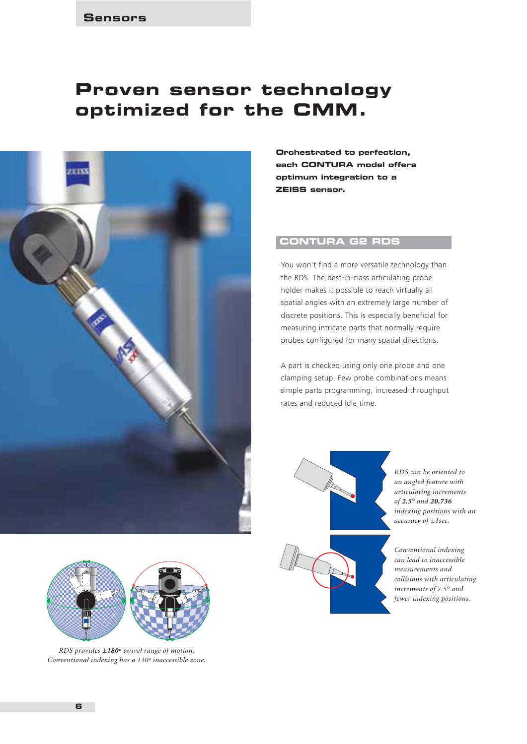# **Proven sensor technology optimized for the CMM.**





*RDS provides ±180º swivel range of motion. Conventional indexing has a 130º inaccessible zone.*

**Orchestrated to perfection, each CONTURA model offers optimum integration to a ZEISS sensor.**

# **CONTURA G2 RDS**

You won't find a more versatile technology than the RDS. The best-in-class articulating probe holder makes it possible to reach virtually all spatial angles with an extremely large number of discrete positions. This is especially beneficial for measuring intricate parts that normally require probes configured for many spatial directions.

A part is checked using only one probe and one clamping setup. Few probe combinations means simple parts programming, increased throughput rates and reduced idle time.



*RDS can be oriented to an angled feature with articulating increments of 2.5° and 20,736 indexing positions with an accuracy of ±1sec.*

*Conventional indexing can lead to inaccessible measurements and collisions with articulating increments of 7.5° and fewer indexing positions.*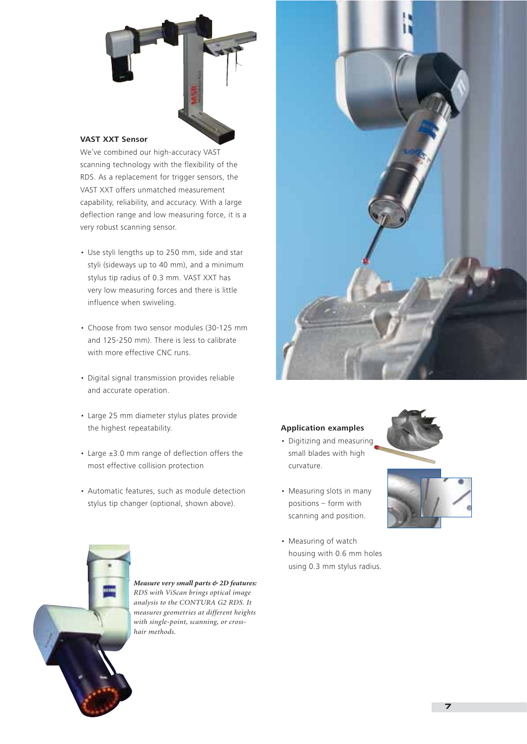

#### **VAST XXT Sensor**

We've combined our high-accuracy VAST scanning technology with the flexibility of the RDS. As a replacement for trigger sensors, the VAST XXT offers unmatched measurement capability, reliability, and accuracy. With a large deflection range and low measuring force, it is a very robust scanning sensor.

- Use styli lengths up to 250 mm, side and star styli (sideways up to 40 mm), and a minimum stylus tip radius of 0.3 mm. VAST XXT has very low measuring forces and there is little influence when swiveling.
- Choose from two sensor modules (30-125 mm and 125-250 mm). There is less to calibrate with more effective CNC runs.
- Digital signal transmission provides reliable and accurate operation.
- Large 25 mm diameter stylus plates provide the highest repeatability.
- Large ±3.0 mm range of deflection offers the most effective collision protection
- Automatic features, such as module detection stylus tip changer (optional, shown above).



#### **Application examples**

- Digitizing and measuring small blades with high curvature.
- Measuring slots in many positions – form with scanning and position.
- Measuring of watch housing with 0.6 mm holes using 0.3 mm stylus radius.





*Measure very small parts & 2D features: RDS with ViScan brings optical image analysis to the CONTURA G2 RDS. It measures geometries at different heights with single-point, scanning, or crosshair methods.*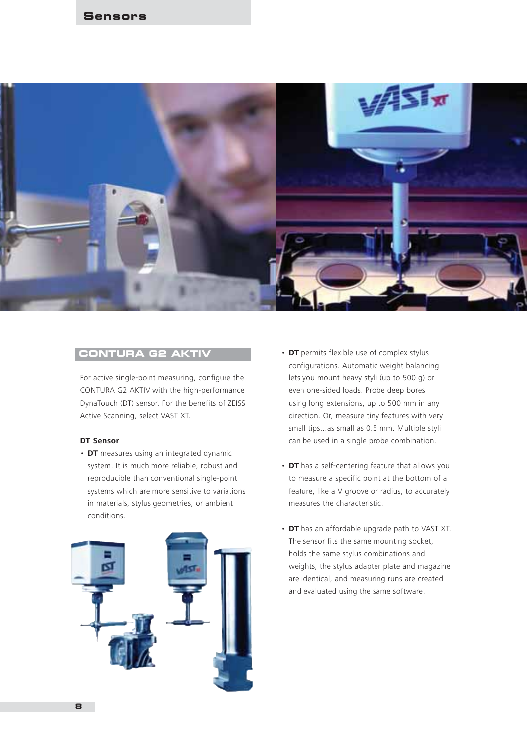

For active single-point measuring, configure the CONTURA G2 AKTIV with the high-performance DynaTouch (DT) sensor. For the benefits of ZEISS Active Scanning, select VAST XT.

### **DT Sensor**

• **DT** measures using an integrated dynamic system. It is much more reliable, robust and reproducible than conventional single-point systems which are more sensitive to variations in materials, stylus geometries, or ambient conditions.



- **CONTURA G2 AKTIV DT** permits flexible use of complex stylus configurations. Automatic weight balancing lets you mount heavy styli (up to 500 g) or even one-sided loads. Probe deep bores using long extensions, up to 500 mm in any direction. Or, measure tiny features with very small tips...as small as 0.5 mm. Multiple styli can be used in a single probe combination.
	- **DT** has a self-centering feature that allows you to measure a specific point at the bottom of a feature, like a V groove or radius, to accurately measures the characteristic.
	- **DT** has an affordable upgrade path to VAST XT. The sensor fits the same mounting socket, holds the same stylus combinations and weights, the stylus adapter plate and magazine are identical, and measuring runs are created and evaluated using the same software.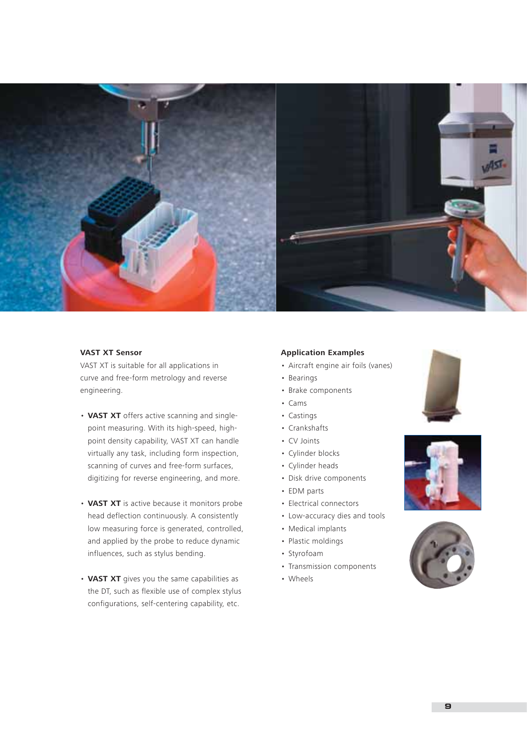

# **VAST XT Sensor**

VAST XT is suitable for all applications in curve and free-form metrology and reverse engineering.

- **VAST XT** offers active scanning and singlepoint measuring. With its high-speed, highpoint density capability, VAST XT can handle virtually any task, including form inspection, scanning of curves and free-form surfaces, digitizing for reverse engineering, and more.
- **VAST XT** is active because it monitors probe head deflection continuously. A consistently low measuring force is generated, controlled, and applied by the probe to reduce dynamic influences, such as stylus bending.
- **VAST XT** gives you the same capabilities as the DT, such as flexible use of complex stylus configurations, self-centering capability, etc.

#### **Application Examples**

- Aircraft engine air foils (vanes)
- Bearings
- Brake components
- Cams
- Castings
- Crankshafts
- CV Joints
- Cylinder blocks
- Cylinder heads
- Disk drive components
- EDM parts
- Electrical connectors
- Low-accuracy dies and tools
- Medical implants
- Plastic moldings
- Styrofoam
- Transmission components
- Wheels





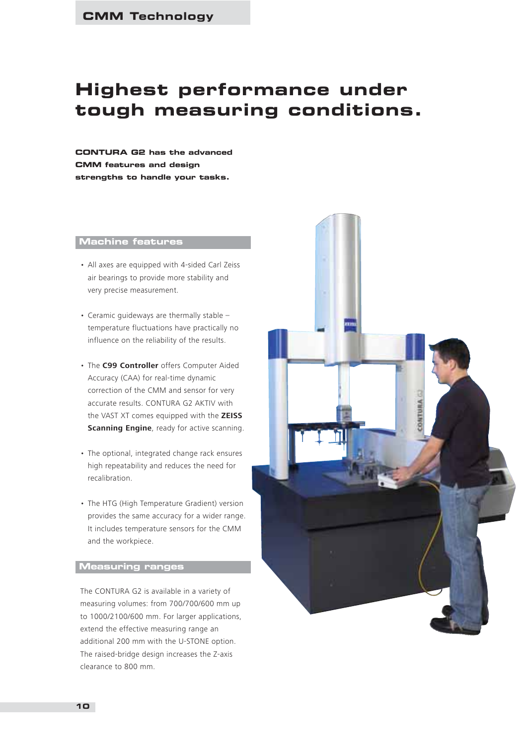# **Highest performance under tough measuring conditions.**

**CONTURA G2 has the advanced CMM features and design strengths to handle your tasks.**

### **Machine features**

- All axes are equipped with 4-sided Carl Zeiss air bearings to provide more stability and very precise measurement.
- Ceramic guideways are thermally stable temperature fluctuations have practically no influence on the reliability of the results.
- The **C99 Controller** offers Computer Aided Accuracy (CAA) for real-time dynamic correction of the CMM and sensor for very accurate results. CONTURA G2 AKTIV with the VAST XT comes equipped with the **ZEISS Scanning Engine**, ready for active scanning.
- The optional, integrated change rack ensures high repeatability and reduces the need for recalibration.
- The HTG (High Temperature Gradient) version provides the same accuracy for a wider range. It includes temperature sensors for the CMM and the workpiece.

## **Measuring ranges**

The CONTURA G2 is available in a variety of measuring volumes: from 700/700/600 mm up to 1000/2100/600 mm. For larger applications, extend the effective measuring range an additional 200 mm with the U-STONE option. The raised-bridge design increases the Z-axis clearance to 800 mm.

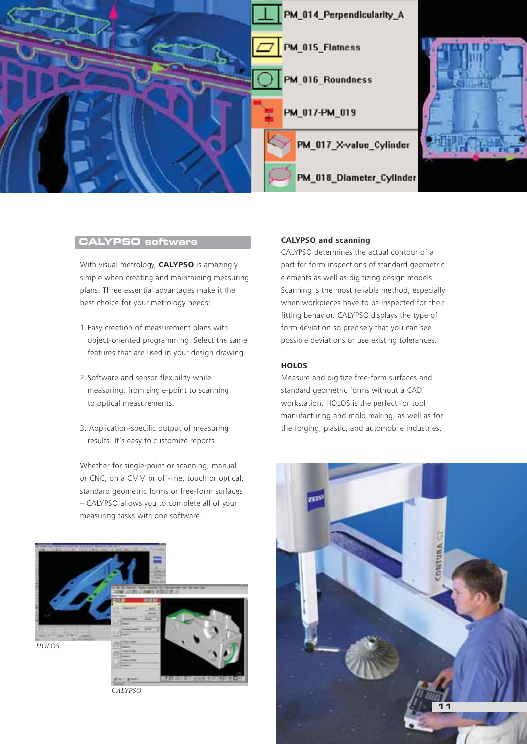

## **CALYPSO software**

With visual metrology, **CALYPSO** is amazingly simple when creating and maintaining measuring plans. Three essential advantages make it the best choice for your metrology needs:

- 1.Easy creation of measurement plans with object-oriented programming. Select the same features that are used in your design drawing.
- 2.Software and sensor flexibility while measuring: from single-point to scanning to optical measurements.
- 3. Application-specific output of measuring results. It's easy to customize reports.

Whether for single-point or scanning; manual or CNC; on a CMM or off-line, touch or optical; standard geometric forms or free-form surfaces – CALYPSO allows you to complete all of your measuring tasks with one software.



#### *CALYPSO*

#### **CALYPSO and scanning**

CALYPSO determines the actual contour of a part for form inspections of standard geometric elements as well as digitizing design models. Scanning is the most reliable method, especially when workpieces have to be inspected for their fitting behavior. CALYPSO displays the type of form deviation so precisely that you can see possible deviations or use existing tolerances.

#### **HOLOS**

Measure and digitize free-form surfaces and standard geometric forms without a CAD workstation. HOLOS is the perfect for tool manufacturing and mold making, as well as for the forging, plastic, and automobile industries.